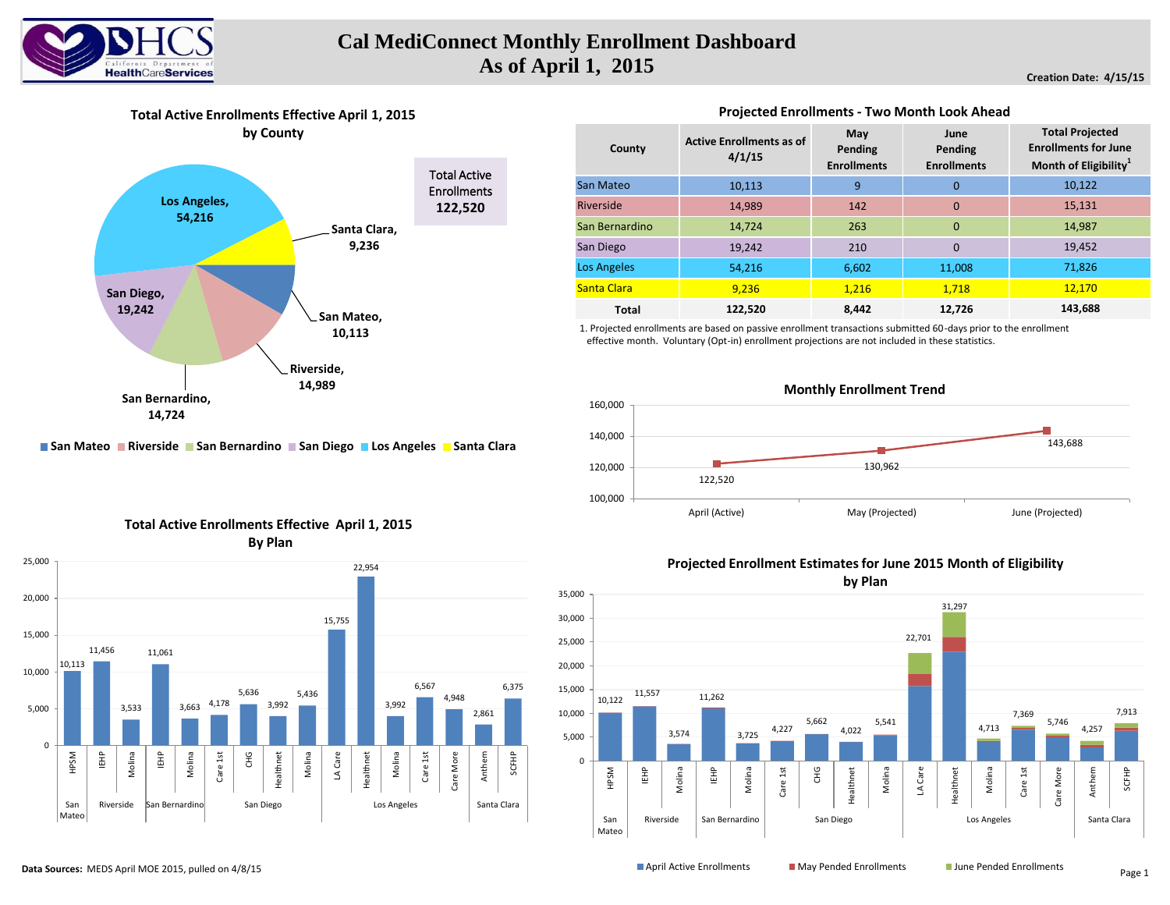

# **Cal MediConnect Monthly Enrollment Dashboard As of April 1, 2015**

## **Creation Date: 4/15/15**





**Projected Enrollments - Two Month Look Ahead** 

#### **Active Enrollments as of 4/1/15 May Pending Enrollments June Pending Enrollments** 10,113 9 0 14,989 142 0 14,724 263 0 19,242 210 0 54,216 6,602 11,008 **9,236** 1,216 1,218 **122,520 8,442 12,726 Total Projected Enrollments for June Month of Eligibility<sup>1</sup>** 10,122 15,131 14,987 19,452 71,826 **143,688** 12,170 Los Angeles **Total County** San Mateo Riverside San Bernardino San Diego Santa Clara

1. Projected enrollments are based on passive enrollment transactions submitted 60-days prior to the enrollment effective month. Voluntary (Opt-in) enrollment projections are not included in these statistics.





**Total Active Enrollments Effective April 1, 2015 By Plan**

**E** San Mateo **Riverside San Bernardino E** San Diego **L** Los Angeles **E** Santa Clara



## **Projected Enrollment Estimates for June 2015 Month of Eligibility**